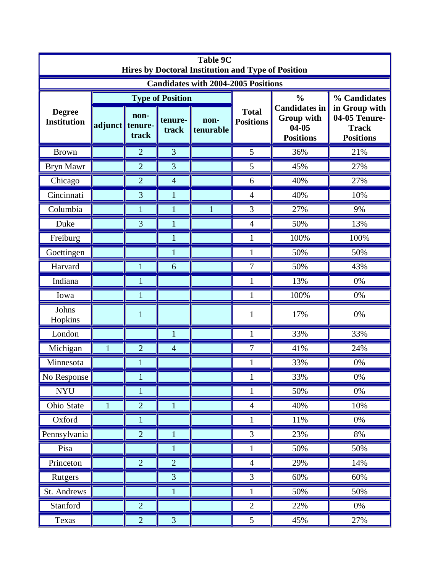| <b>Table 9C</b><br>Hires by Doctoral Institution and Type of Position |              |                          |                         |                   |                                  |                                                                                      |                                                                                    |  |  |  |  |
|-----------------------------------------------------------------------|--------------|--------------------------|-------------------------|-------------------|----------------------------------|--------------------------------------------------------------------------------------|------------------------------------------------------------------------------------|--|--|--|--|
| <b>Candidates with 2004-2005 Positions</b>                            |              |                          |                         |                   |                                  |                                                                                      |                                                                                    |  |  |  |  |
| <b>Degree</b><br><b>Institution</b>                                   |              |                          | <b>Type of Position</b> |                   | <b>Total</b><br><b>Positions</b> | $\frac{0}{0}$<br><b>Candidates in</b><br>Group with<br>$04 - 05$<br><b>Positions</b> | % Candidates<br>in Group with<br>04-05 Tenure-<br><b>Track</b><br><b>Positions</b> |  |  |  |  |
|                                                                       | adjunct      | non-<br>tenure-<br>track | tenure-<br>track        | non-<br>tenurable |                                  |                                                                                      |                                                                                    |  |  |  |  |
| <b>Brown</b>                                                          |              | $\overline{2}$           | 3                       |                   | 5                                | 36%                                                                                  | 21%                                                                                |  |  |  |  |
| Bryn Mawr                                                             |              | $\overline{2}$           | 3                       |                   | 5                                | 45%                                                                                  | 27%                                                                                |  |  |  |  |
| Chicago                                                               |              | $\overline{2}$           | $\overline{4}$          |                   | 6                                | 40%                                                                                  | 27%                                                                                |  |  |  |  |
| Cincinnati                                                            |              | 3                        | 1                       |                   | 4                                | 40%                                                                                  | 10%                                                                                |  |  |  |  |
| Columbia                                                              |              | $\mathbf{1}$             | $\mathbf{1}$            | 1                 | 3                                | 27%                                                                                  | 9%                                                                                 |  |  |  |  |
| Duke                                                                  |              | $\overline{3}$           | $\mathbf{1}$            |                   | 4                                | 50%                                                                                  | 13%                                                                                |  |  |  |  |
| Freiburg                                                              |              |                          | $\mathbf{1}$            |                   |                                  | 100%                                                                                 | 100%                                                                               |  |  |  |  |
| Goettingen                                                            |              |                          | 1                       |                   | 1                                | 50%                                                                                  | 50%                                                                                |  |  |  |  |
| Harvard                                                               |              | 1                        | 6                       |                   | 7                                | 50%                                                                                  | 43%                                                                                |  |  |  |  |
| Indiana                                                               |              | 1                        |                         |                   |                                  | 13%                                                                                  | 0%                                                                                 |  |  |  |  |
| Iowa                                                                  |              | 1                        |                         |                   | 1                                | 100%                                                                                 | 0%                                                                                 |  |  |  |  |
| Johns<br>Hopkins                                                      |              | $\mathbf{1}$             |                         |                   | 1                                | 17%                                                                                  | 0%                                                                                 |  |  |  |  |
| London                                                                |              |                          | 1                       |                   | 1                                | 33%                                                                                  | 33%                                                                                |  |  |  |  |
| Michigan                                                              | 1            | $\overline{2}$           | $\overline{4}$          |                   | 7                                | 41%                                                                                  | 24%                                                                                |  |  |  |  |
| Minnesota                                                             |              | $\mathbf{1}$             |                         |                   | 1                                | 33%                                                                                  | 0%                                                                                 |  |  |  |  |
| No Response                                                           |              | $\bf{l}$                 |                         |                   | $\mathbf{I}$                     | 33%                                                                                  | 0%                                                                                 |  |  |  |  |
| <b>NYU</b>                                                            |              | 1                        |                         |                   |                                  | 50%                                                                                  | 0%                                                                                 |  |  |  |  |
| Ohio State                                                            | $\mathbf{1}$ | $\overline{2}$           | $\mathbf{1}$            |                   | $\overline{4}$                   | 40%                                                                                  | 10%                                                                                |  |  |  |  |
| Oxford                                                                |              | $\mathbf{1}$             |                         |                   | 1                                | $11\%$                                                                               | $0\%$                                                                              |  |  |  |  |
| Pennsylvania                                                          |              | $\overline{2}$           | $\mathbf{1}$            |                   | 3                                | 23%                                                                                  | 8%                                                                                 |  |  |  |  |
| Pisa                                                                  |              |                          | $\mathbf{1}$            |                   | $\mathbf{1}$                     | 50%                                                                                  | 50%                                                                                |  |  |  |  |
| Princeton                                                             |              | $\overline{2}$           | $\overline{2}$          |                   | $\overline{4}$                   | 29%                                                                                  | 14%                                                                                |  |  |  |  |
| Rutgers                                                               |              |                          | $\overline{3}$          |                   | 3                                | 60%                                                                                  | 60%                                                                                |  |  |  |  |
| St. Andrews                                                           |              |                          | $\mathbf{1}$            |                   | $\mathbf{1}$                     | 50%                                                                                  | 50%                                                                                |  |  |  |  |
| Stanford                                                              |              | $\overline{2}$           |                         |                   | $\overline{2}$                   | 22%                                                                                  | $0\%$                                                                              |  |  |  |  |
| Texas                                                                 |              | $\overline{2}$           | 3                       |                   | 5                                | 45%                                                                                  | 27%                                                                                |  |  |  |  |